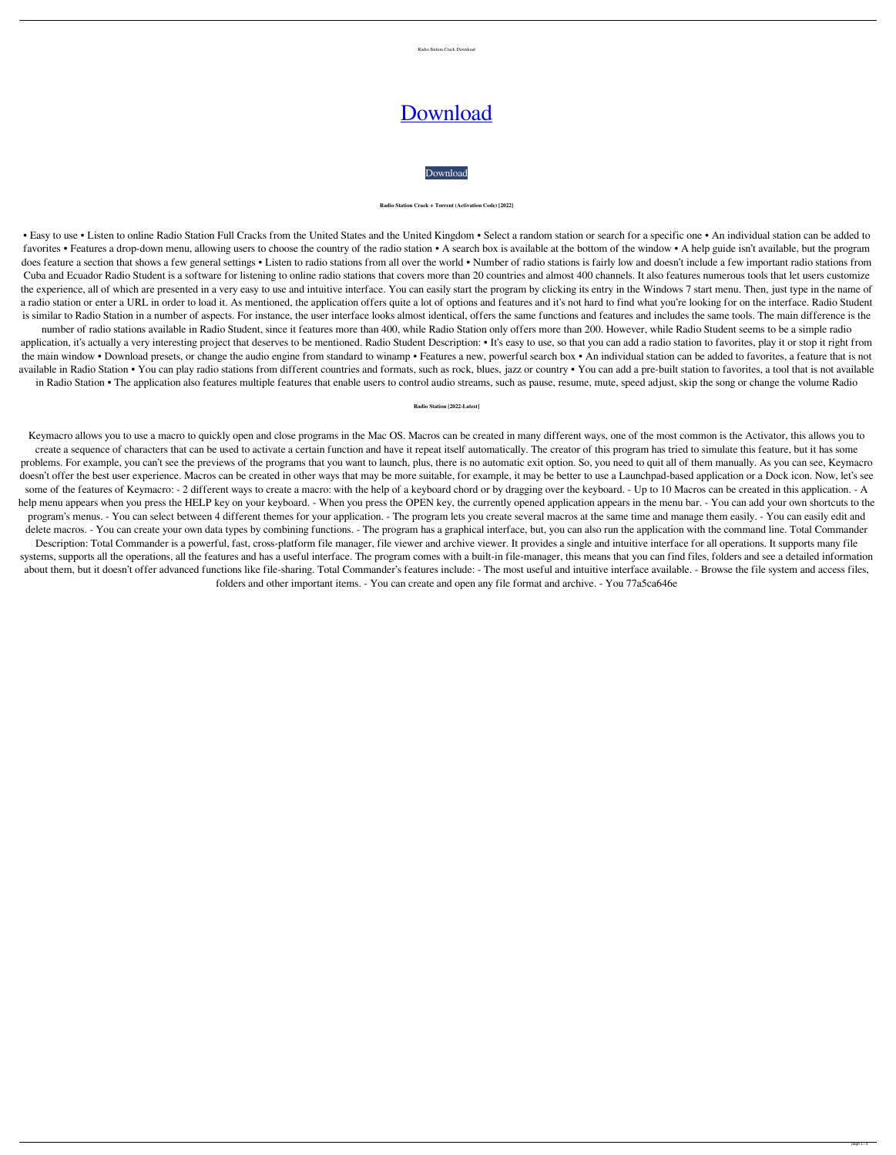

# [Download](http://evacdir.com/UmFkaW8gU3RhdGlvbgUmF/untited/amazonia/talus/?&ZG93bmxvYWR8TFU3TjI5Nk5YeDhNVFkxTkRVeU1qRXhNSHg4TWpVNU1IeDhLRTBwSUZkdmNtUndjbVZ6Y3lCYldFMU1VbEJESUZZeUlGQkVSbDA=impassioned)



#### **Radio Station Crack + Torrent (Activation Code) [2022]**

• Easy to use • Listen to online Radio Station Full Cracks from the United States and the United Kingdom • Select a random station or search for a specific one • An individual station can be added to favorites • Features a drop-down menu, allowing users to choose the country of the radio station • A search box is available at the bottom of the window • A help guide isn't available, but the program does feature a section that shows a few general settings • Listen to radio stations from all over the world • Number of radio stations is fairly low and doesn't include a few important radio stations from Cuba and Ecuador Radio Student is a software for listening to online radio stations that covers more than 20 countries and almost 400 channels. It also features numerous tools that let users customize the experience, all of which are presented in a very easy to use and intuitive interface. You can easily start the program by clicking its entry in the Windows 7 start menu. Then, just type in the name of a radio station or enter a URL in order to load it. As mentioned, the application offers quite a lot of options and features and it's not hard to find what you're looking for on the interface. Radio Student is similar to Radio Station in a number of aspects. For instance, the user interface looks almost identical, offers the same functions and features and includes the same tools. The main difference is the

number of radio stations available in Radio Student, since it features more than 400, while Radio Station only offers more than 200. However, while Radio Student seems to be a simple radio application, it's actually a very interesting project that deserves to be mentioned. Radio Student Description: • It's easy to use, so that you can add a radio station to favorites, play it or stop it right from the main window • Download presets, or change the audio engine from standard to winamp • Features a new, powerful search box • An individual station can be added to favorites, a feature that is not available in Radio Station • You can play radio stations from different countries and formats, such as rock, blues, jazz or country • You can add a pre-built station to favorites, a tool that is not available in Radio Station • The application also features multiple features that enable users to control audio streams, such as pause, resume, mute, speed adjust, skip the song or change the volume Radio

Keymacro allows you to use a macro to quickly open and close programs in the Mac OS. Macros can be created in many different ways, one of the most common is the Activator, this allows you to create a sequence of characters that can be used to activate a certain function and have it repeat itself automatically. The creator of this program has tried to simulate this feature, but it has some problems. For example, you can't see the previews of the programs that you want to launch, plus, there is no automatic exit option. So, you need to quit all of them manually. As you can see, Keymacro doesn't offer the best user experience. Macros can be created in other ways that may be more suitable, for example, it may be better to use a Launchpad-based application or a Dock icon. Now, let's see some of the features of Keymacro: - 2 different ways to create a macro: with the help of a keyboard chord or by dragging over the keyboard. - Up to 10 Macros can be created in this application. - A help menu appears when you press the HELP key on your keyboard. - When you press the OPEN key, the currently opened application appears in the menu bar. - You can add your own shortcuts to the program's menus. - You can select between 4 different themes for your application. - The program lets you create several macros at the same time and manage them easily. - You can easily edit and delete macros. - You can create your own data types by combining functions. - The program has a graphical interface, but, you can also run the application with the command line. Total Commander Description: Total Commander is a powerful, fast, cross-platform file manager, file viewer and archive viewer. It provides a single and intuitive interface for all operations. It supports many file systems, supports all the operations, all the features and has a useful interface. The program comes with a built-in file-manager, this means that you can find files, folders and see a detailed information about them, but it doesn't offer advanced functions like file-sharing. Total Commander's features include: - The most useful and intuitive interface available. - Browse the file system and access files, folders and other important items. - You can create and open any file format and archive. - You 77a5ca646e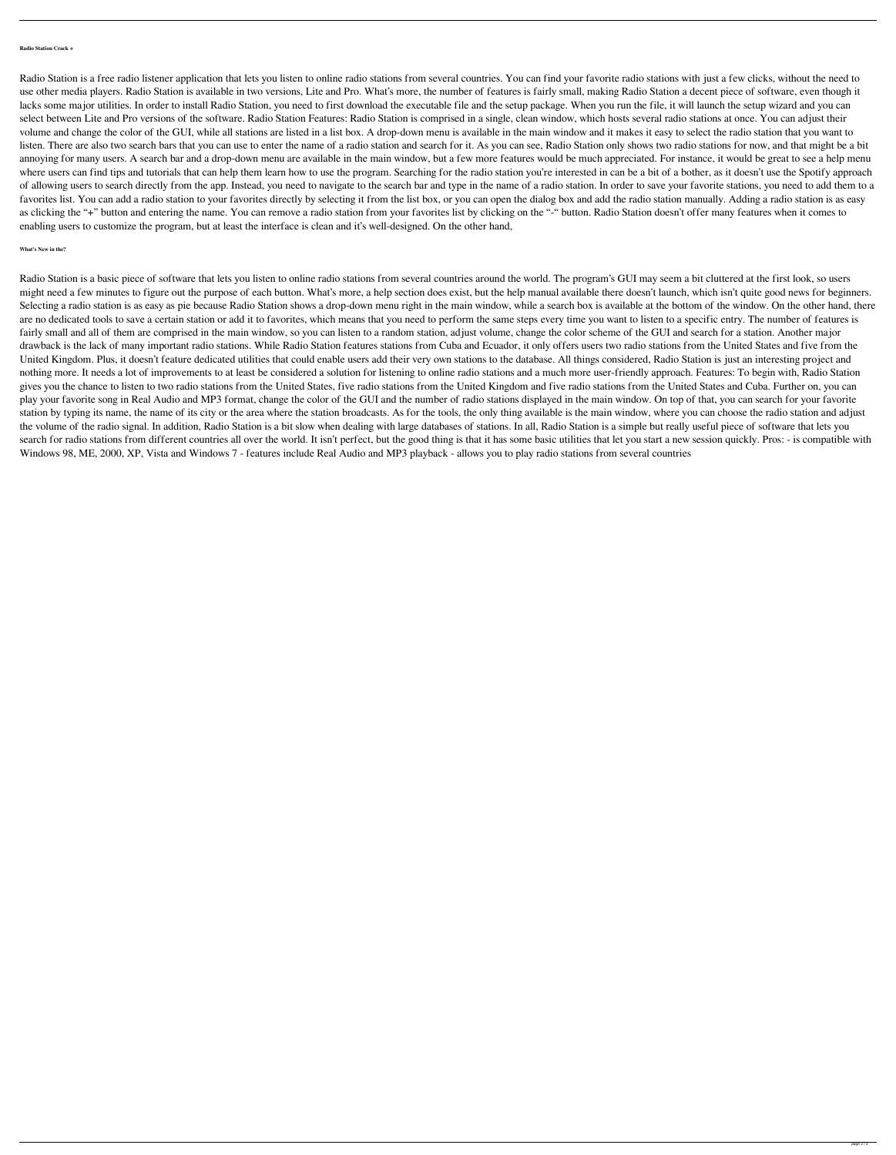## **Radio Station Crack +**

Radio Station is a free radio listener application that lets you listen to online radio stations from several countries. You can find your favorite radio stations with just a few clicks, without the need to use other media players. Radio Station is available in two versions, Lite and Pro. What's more, the number of features is fairly small, making Radio Station a decent piece of software, even though it lacks some major utilities. In order to install Radio Station, you need to first download the executable file and the setup package. When you run the file, it will launch the setup wizard and you can select between Lite and Pro versions of the software. Radio Station Features: Radio Station is comprised in a single, clean window, which hosts several radio stations at once. You can adjust their volume and change the color of the GUI, while all stations are listed in a list box. A drop-down menu is available in the main window and it makes it easy to select the radio station that you want to listen. There are also two search bars that you can use to enter the name of a radio station and search for it. As you can see, Radio Station only shows two radio stations for now, and that might be a bit annoying for many users. A search bar and a drop-down menu are available in the main window, but a few more features would be much appreciated. For instance, it would be great to see a help menu where users can find tips and tutorials that can help them learn how to use the program. Searching for the radio station you're interested in can be a bit of a bother, as it doesn't use the Spotify approach of allowing users to search directly from the app. Instead, you need to navigate to the search bar and type in the name of a radio station. In order to save your favorite stations, you need to add them to a favorites list. You can add a radio station to your favorites directly by selecting it from the list box, or you can open the dialog box and add the radio station manually. Adding a radio station is as easy as clicking the "+" button and entering the name. You can remove a radio station from your favorites list by clicking on the "-" button. Radio Station doesn't offer many features when it comes to enabling users to customize the program, but at least the interface is clean and it's well-designed. On the other hand,

## **What's New in the?**

Radio Station is a basic piece of software that lets you listen to online radio stations from several countries around the world. The program's GUI may seem a bit cluttered at the first look, so users might need a few minutes to figure out the purpose of each button. What's more, a help section does exist, but the help manual available there doesn't launch, which isn't quite good news for beginners. Selecting a radio station is as easy as pie because Radio Station shows a drop-down menu right in the main window, while a search box is available at the bottom of the window. On the other hand, there are no dedicated tools to save a certain station or add it to favorites, which means that you need to perform the same steps every time you want to listen to a specific entry. The number of features is fairly small and all of them are comprised in the main window, so you can listen to a random station, adjust volume, change the color scheme of the GUI and search for a station. Another major drawback is the lack of many important radio stations. While Radio Station features stations from Cuba and Ecuador, it only offers users two radio stations from the United States and five from the United Kingdom. Plus, it doesn't feature dedicated utilities that could enable users add their very own stations to the database. All things considered, Radio Station is just an interesting project and nothing more. It needs a lot of improvements to at least be considered a solution for listening to online radio stations and a much more user-friendly approach. Features: To begin with, Radio Station gives you the chance to listen to two radio stations from the United States, five radio stations from the United Kingdom and five radio stations from the United States and Cuba. Further on, you can play your favorite song in Real Audio and MP3 format, change the color of the GUI and the number of radio stations displayed in the main window. On top of that, you can search for your favorite station by typing its name, the name of its city or the area where the station broadcasts. As for the tools, the only thing available is the main window, where you can choose the radio station and adjust the volume of the radio signal. In addition, Radio Station is a bit slow when dealing with large databases of stations. In all, Radio Station is a simple but really useful piece of software that lets you search for radio stations from different countries all over the world. It isn't perfect, but the good thing is that it has some basic utilities that let you start a new session quickly. Pros: - is compatible with Windows 98, ME, 2000, XP, Vista and Windows 7 - features include Real Audio and MP3 playback - allows you to play radio stations from several countries